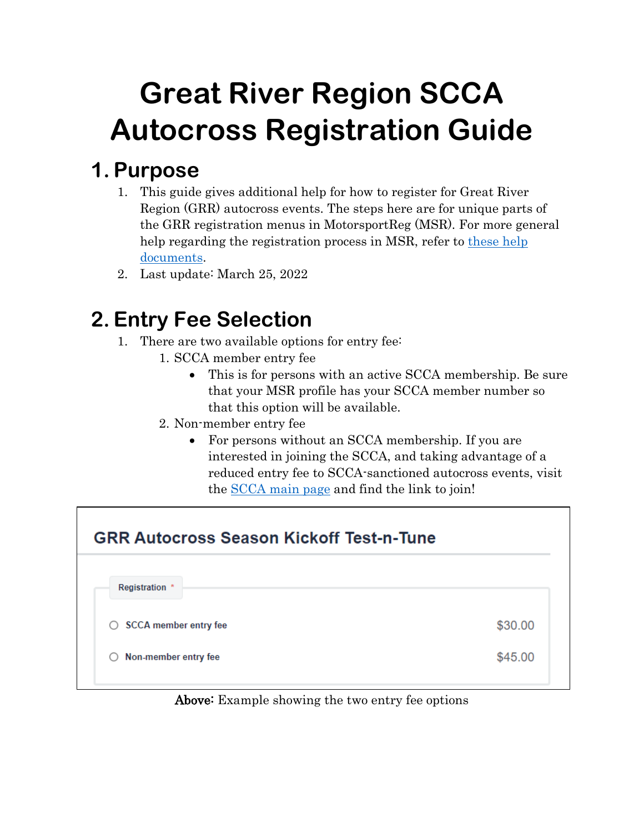# **Great River Region SCCA Autocross Registration Guide**

## **1. Purpose**

- 1. This guide gives additional help for how to register for Great River Region (GRR) autocross events. The steps here are for unique parts of the GRR registration menus in MotorsportReg (MSR). For more general help regarding the registration process in MSR, refer to these help [documents.](https://help.motorsportreg.com/?utm_source=motorsportreg&utm_medium=web&utm_campaign=footerDocsLink&utm_content=helpDocs)
- 2. Last update: March 25, 2022

## **2. Entry Fee Selection**

- 1. There are two available options for entry fee:
	- 1. SCCA member entry fee
		- This is for persons with an active SCCA membership. Be sure that your MSR profile has your SCCA member number so that this option will be available.
	- 2. Non-member entry fee
		- For persons without an SCCA membership. If you are interested in joining the SCCA, and taking advantage of a reduced entry fee to SCCA-sanctioned autocross events, visit the [SCCA main page](https://www.scca.com/) and find the link to join!

| <b>GRR Autocross Season Kickoff Test-n-Tune</b> |         |  |  |  |
|-------------------------------------------------|---------|--|--|--|
| Registration *                                  |         |  |  |  |
| <b>SCCA</b> member entry fee<br>O               | \$30.00 |  |  |  |
| Non-member entry fee<br>O                       | \$45.00 |  |  |  |
|                                                 |         |  |  |  |

Above: Example showing the two entry fee options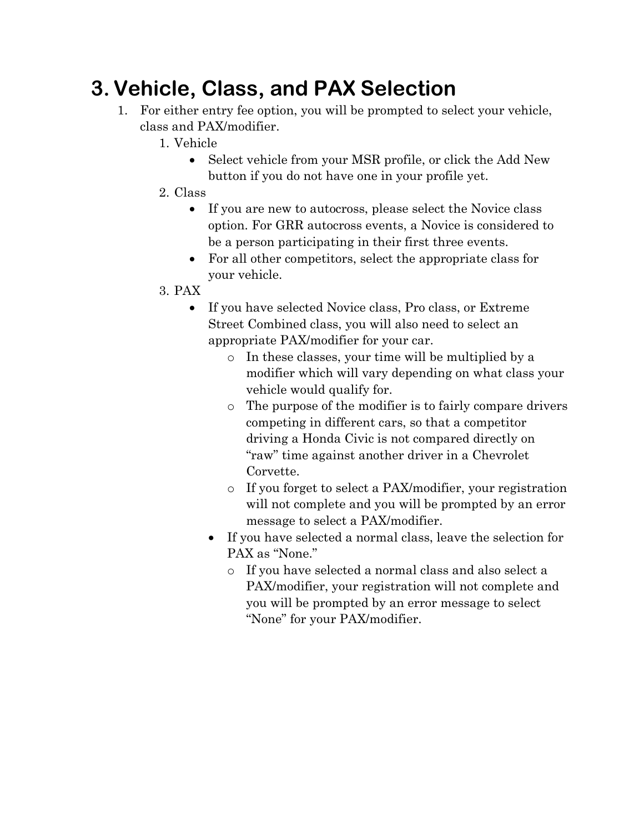# **3.Vehicle, Class, and PAX Selection**

- 1. For either entry fee option, you will be prompted to select your vehicle, class and PAX/modifier.
	- 1. Vehicle
		- Select vehicle from your MSR profile, or click the Add New button if you do not have one in your profile yet.
	- 2. Class
		- If you are new to autocross, please select the Novice class option. For GRR autocross events, a Novice is considered to be a person participating in their first three events.
		- For all other competitors, select the appropriate class for your vehicle.
	- 3. PAX
		- If you have selected Novice class, Pro class, or Extreme Street Combined class, you will also need to select an appropriate PAX/modifier for your car.
			- o In these classes, your time will be multiplied by a modifier which will vary depending on what class your vehicle would qualify for.
			- o The purpose of the modifier is to fairly compare drivers competing in different cars, so that a competitor driving a Honda Civic is not compared directly on "raw" time against another driver in a Chevrolet Corvette.
			- o If you forget to select a PAX/modifier, your registration will not complete and you will be prompted by an error message to select a PAX/modifier.
			- If you have selected a normal class, leave the selection for PAX as "None."
				- o If you have selected a normal class and also select a PAX/modifier, your registration will not complete and you will be prompted by an error message to select "None" for your PAX/modifier.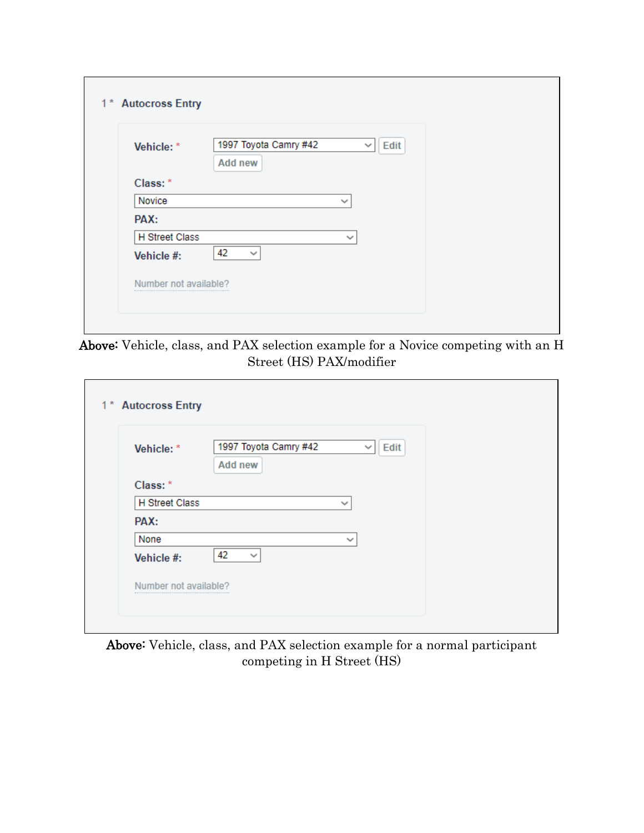| 1* Autocross Entry    |                                                                 |
|-----------------------|-----------------------------------------------------------------|
| Vehicle: *            | 1997 Toyota Camry #42<br>Edit<br>$\checkmark$<br><b>Add new</b> |
| Class: *              |                                                                 |
| Novice                | $\checkmark$                                                    |
| PAX:                  |                                                                 |
| <b>H</b> Street Class | $\checkmark$                                                    |
| Vehicle #:            | 42<br>$\checkmark$                                              |
| Number not available? |                                                                 |
|                       |                                                                 |

Above: Vehicle, class, and PAX selection example for a Novice competing with an H Street (HS) PAX/modifier

| 1 <sup>*</sup> Autocross Entry |                                         |                             |  |
|--------------------------------|-----------------------------------------|-----------------------------|--|
| Vehicle: *                     | 1997 Toyota Camry #42<br><b>Add new</b> | <b>Edit</b><br>$\checkmark$ |  |
| Class: *                       |                                         |                             |  |
| <b>H</b> Street Class          |                                         | $\checkmark$                |  |
| PAX:                           |                                         |                             |  |
| None                           |                                         | $\checkmark$                |  |
| Vehicle #:                     | 42<br>$\checkmark$                      |                             |  |
| Number not available?          |                                         |                             |  |

Above: Vehicle, class, and PAX selection example for a normal participant competing in H Street (HS)